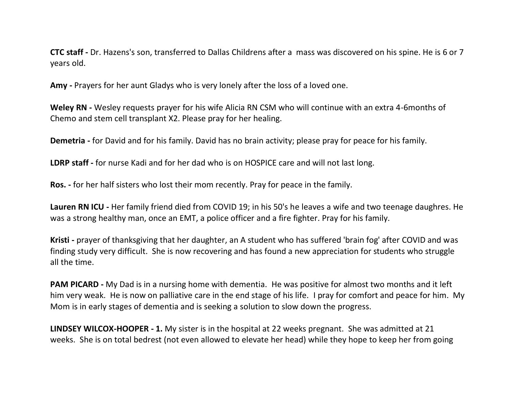**CTC staff -** Dr. Hazens's son, transferred to Dallas Childrens after a mass was discovered on his spine. He is 6 or 7 years old.

**Amy -** Prayers for her aunt Gladys who is very lonely after the loss of a loved one.

**Weley RN -** Wesley requests prayer for his wife Alicia RN CSM who will continue with an extra 4-6months of Chemo and stem cell transplant X2. Please pray for her healing.

**Demetria -** for David and for his family. David has no brain activity; please pray for peace for his family.

**LDRP staff -** for nurse Kadi and for her dad who is on HOSPICE care and will not last long.

**Ros. -** for her half sisters who lost their mom recently. Pray for peace in the family.

**Lauren RN ICU -** Her family friend died from COVID 19; in his 50's he leaves a wife and two teenage daughres. He was a strong healthy man, once an EMT, a police officer and a fire fighter. Pray for his family.

**Kristi -** prayer of thanksgiving that her daughter, an A student who has suffered 'brain fog' after COVID and was finding study very difficult. She is now recovering and has found a new appreciation for students who struggle all the time.

**PAM PICARD -** My Dad is in a nursing home with dementia. He was positive for almost two months and it left him very weak. He is now on palliative care in the end stage of his life. I pray for comfort and peace for him. My Mom is in early stages of dementia and is seeking a solution to slow down the progress.

**LINDSEY WILCOX-HOOPER - 1.** My sister is in the hospital at 22 weeks pregnant. She was admitted at 21 weeks. She is on total bedrest (not even allowed to elevate her head) while they hope to keep her from going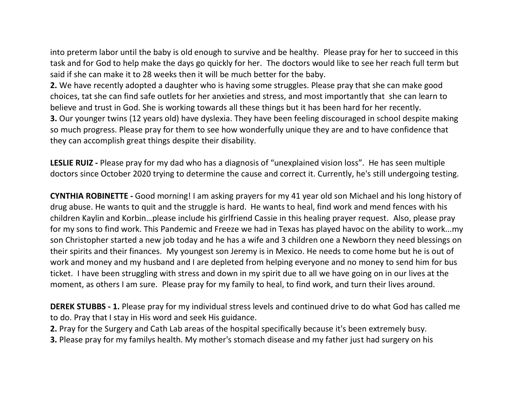into preterm labor until the baby is old enough to survive and be healthy. Please pray for her to succeed in this task and for God to help make the days go quickly for her. The doctors would like to see her reach full term but said if she can make it to 28 weeks then it will be much better for the baby.

**2.** We have recently adopted a daughter who is having some struggles. Please pray that she can make good choices, tat she can find safe outlets for her anxieties and stress, and most importantly that she can learn to believe and trust in God. She is working towards all these things but it has been hard for her recently. **3.** Our younger twins (12 years old) have dyslexia. They have been feeling discouraged in school despite making so much progress. Please pray for them to see how wonderfully unique they are and to have confidence that they can accomplish great things despite their disability.

**LESLIE RUIZ -** Please pray for my dad who has a diagnosis of "unexplained vision loss". He has seen multiple doctors since October 2020 trying to determine the cause and correct it. Currently, he's still undergoing testing.

**CYNTHIA ROBINETTE -** Good morning! I am asking prayers for my 41 year old son Michael and his long history of drug abuse. He wants to quit and the struggle is hard. He wants to heal, find work and mend fences with his children Kaylin and Korbin…please include his girlfriend Cassie in this healing prayer request. Also, please pray for my sons to find work. This Pandemic and Freeze we had in Texas has played havoc on the ability to work...my son Christopher started a new job today and he has a wife and 3 children one a Newborn they need blessings on their spirits and their finances. My youngest son Jeremy is in Mexico. He needs to come home but he is out of work and money and my husband and I are depleted from helping everyone and no money to send him for bus ticket. I have been struggling with stress and down in my spirit due to all we have going on in our lives at the moment, as others I am sure. Please pray for my family to heal, to find work, and turn their lives around.

**DEREK STUBBS - 1.** Please pray for my individual stress levels and continued drive to do what God has called me to do. Pray that I stay in His word and seek His guidance.

**2.** Pray for the Surgery and Cath Lab areas of the hospital specifically because it's been extremely busy.

**3.** Please pray for my familys health. My mother's stomach disease and my father just had surgery on his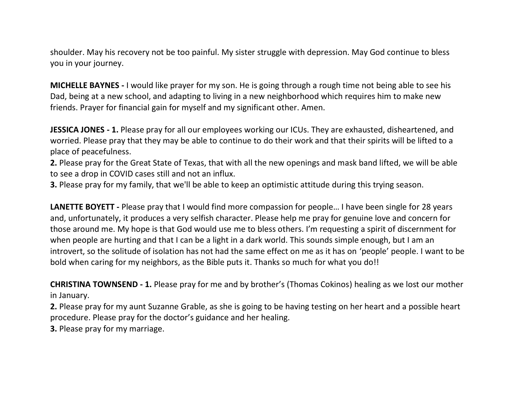shoulder. May his recovery not be too painful. My sister struggle with depression. May God continue to bless you in your journey.

**MICHELLE BAYNES -** I would like prayer for my son. He is going through a rough time not being able to see his Dad, being at a new school, and adapting to living in a new neighborhood which requires him to make new friends. Prayer for financial gain for myself and my significant other. Amen.

**JESSICA JONES - 1.** Please pray for all our employees working our ICUs. They are exhausted, disheartened, and worried. Please pray that they may be able to continue to do their work and that their spirits will be lifted to a place of peacefulness.

**2.** Please pray for the Great State of Texas, that with all the new openings and mask band lifted, we will be able to see a drop in COVID cases still and not an influx.

**3.** Please pray for my family, that we'll be able to keep an optimistic attitude during this trying season.

**LANETTE BOYETT -** Please pray that I would find more compassion for people… I have been single for 28 years and, unfortunately, it produces a very selfish character. Please help me pray for genuine love and concern for those around me. My hope is that God would use me to bless others. I'm requesting a spirit of discernment for when people are hurting and that I can be a light in a dark world. This sounds simple enough, but I am an introvert, so the solitude of isolation has not had the same effect on me as it has on 'people' people. I want to be bold when caring for my neighbors, as the Bible puts it. Thanks so much for what you do!!

**CHRISTINA TOWNSEND - 1.** Please pray for me and by brother's (Thomas Cokinos) healing as we lost our mother in January.

**2.** Please pray for my aunt Suzanne Grable, as she is going to be having testing on her heart and a possible heart procedure. Please pray for the doctor's guidance and her healing.

**3.** Please pray for my marriage.